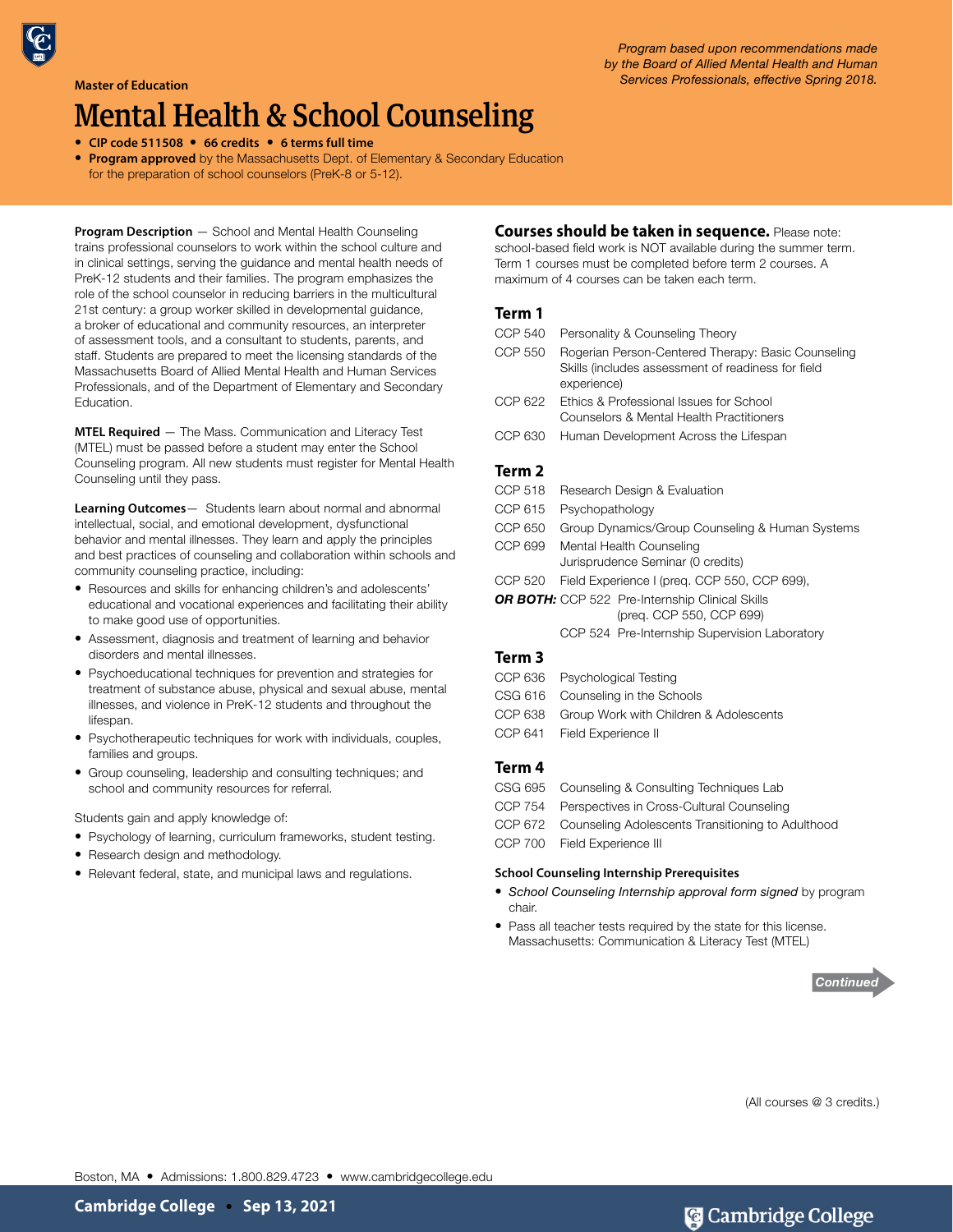#### **Master of Education**

# Mental Health & School Counseling

• **CIP code 511508** • **66 credits** • **6 terms full time**

• **Program approved** by the Massachusetts Dept. of Elementary & Secondary Education for the preparation of school counselors (PreK-8 or 5-12).

**Program Description** — School and Mental Health Counseling trains professional counselors to work within the school culture and in clinical settings, serving the guidance and mental health needs of PreK-12 students and their families. The program emphasizes the role of the school counselor in reducing barriers in the multicultural 21st century: a group worker skilled in developmental guidance, a broker of educational and community resources, an interpreter of assessment tools, and a consultant to students, parents, and staff. Students are prepared to meet the licensing standards of the Massachusetts Board of Allied Mental Health and Human Services Professionals, and of the Department of Elementary and Secondary Education.

**MTEL Required** — The Mass. Communication and Literacy Test (MTEL) must be passed before a student may enter the School Counseling program. All new students must register for Mental Health Counseling until they pass.

**Learning Outcomes**— Students learn about normal and abnormal intellectual, social, and emotional development, dysfunctional behavior and mental illnesses. They learn and apply the principles and best practices of counseling and collaboration within schools and community counseling practice, including:

- Resources and skills for enhancing children's and adolescents' educational and vocational experiences and facilitating their ability to make good use of opportunities.
- Assessment, diagnosis and treatment of learning and behavior disorders and mental illnesses.
- Psychoeducational techniques for prevention and strategies for treatment of substance abuse, physical and sexual abuse, mental illnesses, and violence in PreK-12 students and throughout the lifespan.
- Psychotherapeutic techniques for work with individuals, couples, families and groups.
- Group counseling, leadership and consulting techniques; and school and community resources for referral.

Students gain and apply knowledge of:

- Psychology of learning, curriculum frameworks, student testing.
- Research design and methodology.
- Relevant federal, state, and municipal laws and regulations.

## **Courses should be taken in sequence.** Please note:

school-based field work is NOT available during the summer term. Term 1 courses must be completed before term 2 courses. A maximum of 4 courses can be taken each term.

## **Term 1**

- CCP 540 Personality & Counseling Theory
- CCP 550 Rogerian Person-Centered Therapy: Basic Counseling Skills (includes assessment of readiness for field experience)
- CCP 622 Ethics & Professional Issues for School Counselors & Mental Health Practitioners
- CCP 630 Human Development Across the Lifespan

## **Term 2**

- CCP 518 Research Design & Evaluation CCP 615 Psychopathology CCP 650 Group Dynamics/Group Counseling & Human Systems CCP 699 Mental Health Counseling Jurisprudence Seminar (0 credits) CCP 520 Field Experience I (preq. CCP 550, CCP 699), **OR BOTH:** CCP 522 Pre-Internship Clinical Skills (preq. CCP 550, CCP 699)
	- CCP 524 Pre-Internship Supervision Laboratory

# **Term 3**

| CCP 636 | Psychological Testing     |
|---------|---------------------------|
| CSG 616 | Counseling in the Schools |

- CCP 638 Group Work with Children & Adolescents
- CCP 641 Field Experience II

## **Term 4**

- CSG 695 Counseling & Consulting Techniques Lab CCP 754 Perspectives in Cross-Cultural Counseling CCP 672 Counseling Adolescents Transitioning to Adulthood
- CCP 700 Field Experience III

### **School Counseling Internship Prerequisites**

- *School Counseling Internship approval form signed* by program chair.
- Pass all teacher tests required by the state for this license. Massachusetts: Communication & Literacy Test (MTEL)



(All courses @ 3 credits.)